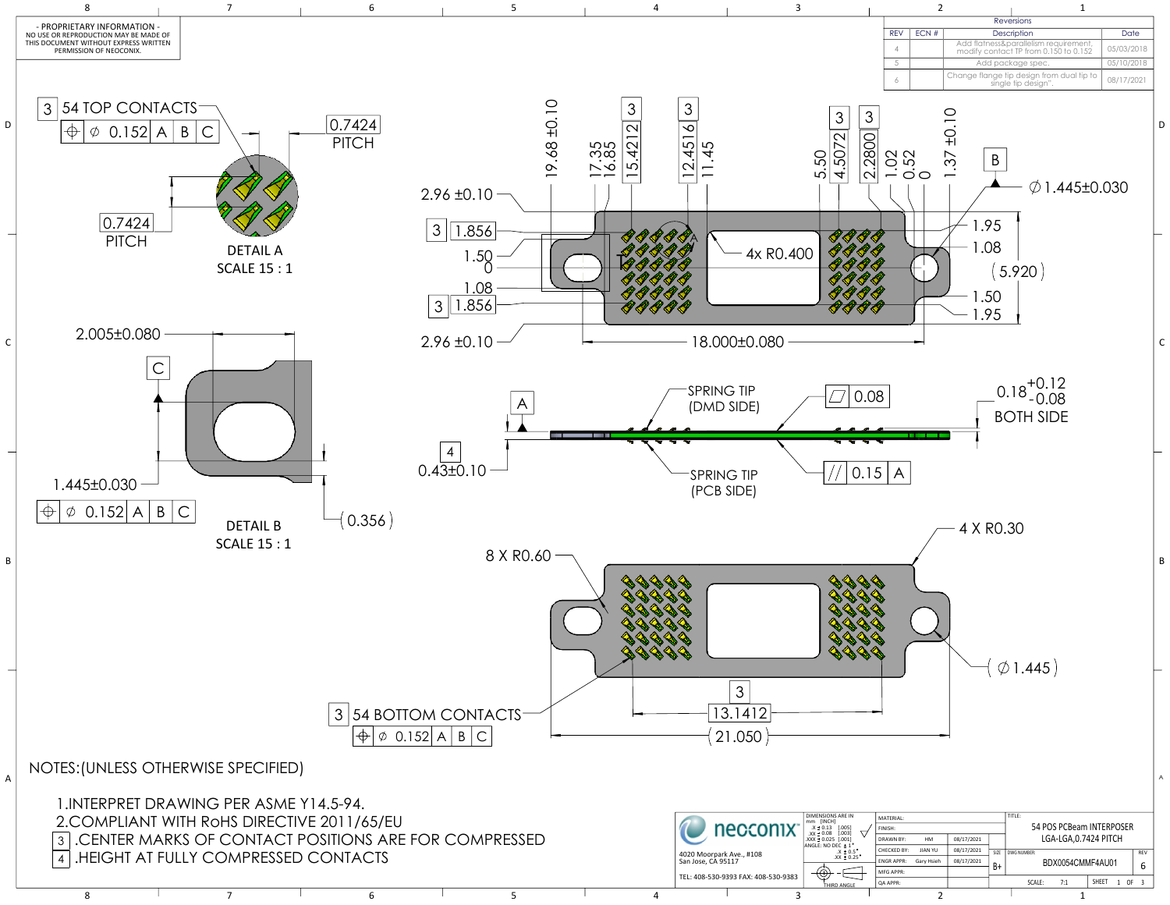| IERPREI DRAWING PER ASME Y 14.5-94.     |                                                      |  |                             |                                     |                                   |                       |                |                      |                          |                  |          |  |
|-----------------------------------------|------------------------------------------------------|--|-----------------------------|-------------------------------------|-----------------------------------|-----------------------|----------------|----------------------|--------------------------|------------------|----------|--|
| OMPLIANT WITH RoHS DIRECTIVE 2011/65/EU |                                                      |  |                             |                                     | <b>DIMENSIONS ARE IN</b>          | MATERIAL:             |                |                      |                          |                  |          |  |
|                                         |                                                      |  | necconix                    | X ± 0.13                            | <b>FINISH</b>                     |                       |                |                      | 54 POS PCBeam INTERPOSER |                  |          |  |
|                                         | CENTER MARKS OF CONTACT POSITIONS ARE FOR COMPRESSED |  | $\vert$ .XXX ± 0.025 [.001] | DRAWN BY:                           | HM                                | 08/17/2021            |                | LGA-LGA,0.7424 PITCH |                          |                  |          |  |
|                                         |                                                      |  |                             | 4020 Moorpark Ave., #108            | ANGLE: NO DEC ± 1<br>$.X \pm 0.5$ | CHECKED BY:           | <b>JIAN YU</b> | 08/17/2021           | SIZE DWG NUMBER:         |                  |          |  |
| IEIGHT AT FULLY COMPRESSED CONTACTS     |                                                      |  |                             | San Jose, CA 95117                  | $.XX \pm 0.25$                    | ENGR APPR: Gary Hsieh |                | 08/17/2021           |                          | BDX0054CMMF4AU01 |          |  |
|                                         |                                                      |  |                             | TEL: 408-530-9393 FAX: 408-530-9383 | رت,                               | MFG APPR:             |                |                      |                          |                  |          |  |
|                                         |                                                      |  |                             |                                     | <b>THIRD ANGLE</b>                | <b>QA APPR:</b>       |                |                      | SCALE:                   | SHEET            | $1$ OF 3 |  |
|                                         |                                                      |  |                             |                                     |                                   |                       |                |                      |                          |                  |          |  |



| <b>RFV</b> | FCN# | Description                                                                    | Date       |  |  |
|------------|------|--------------------------------------------------------------------------------|------------|--|--|
|            |      | Add flatness&parallelism requirement,<br>modify contact TP from 0.150 to 0.152 | 05/03/2018 |  |  |
|            |      | Add package spec.                                                              | 05/10/2018 |  |  |
|            |      | Change flange tip design from dual tip to<br>single tip design".               | 08/17/2021 |  |  |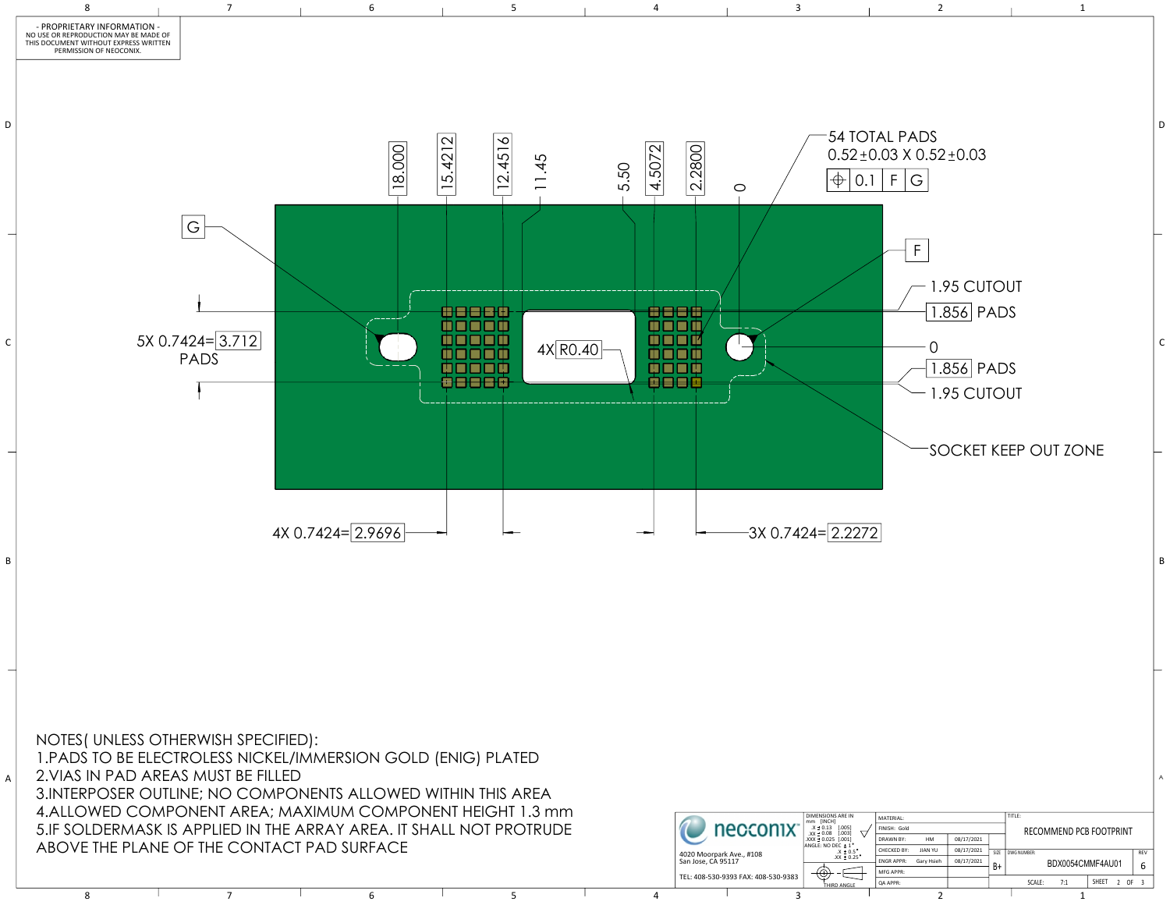

|                                                                                                                  |  |  | $\overline{\phantom{a}}$ ovini vinlini anla, iviaaliviuivi vuivii vinlini iiliviii t.j iiiiii |  |                                     | <b>DIMENSIONS ARE IN</b>                       | MATERIAL                                    |                    |                  |            |  |                         |                  |                 |  |
|------------------------------------------------------------------------------------------------------------------|--|--|-----------------------------------------------------------------------------------------------|--|-------------------------------------|------------------------------------------------|---------------------------------------------|--------------------|------------------|------------|--|-------------------------|------------------|-----------------|--|
| LDERMASK IS APPLIED IN THE ARRAY AREA. IT SHALL NOT PROTRUDE<br>$\in$ THE PLANE OF THE CONTACT PAD SURFACE $\in$ |  |  |                                                                                               |  |                                     | necconix <sup>®</sup>                          | $X \pm 0.13$ [.005]<br>$XX \pm 0.08$ [.003] | FINISH: Gold       |                  |            |  | RECOMMEND PCB FOOTPRINT |                  |                 |  |
|                                                                                                                  |  |  |                                                                                               |  |                                     |                                                |                                             |                    | HM               | 08/17/2021 |  |                         |                  |                 |  |
|                                                                                                                  |  |  |                                                                                               |  | ANGLE: NO DEC ± 1<br>$.X = 0.5$     | CHECKED BY:                                    | <b>JIAN YU</b>                              | 08/17/2021         | SIZE DWG NUMBER: |            |  | REV                     |                  |                 |  |
|                                                                                                                  |  |  |                                                                                               |  |                                     | 4020 Moorpark Ave., #108<br>San Jose, CA 95117 | $.XX \pm 0.25$                              | <b>LENGR APPR:</b> | Gary Hsieh       | 08/17/2021 |  |                         | BDX0054CMMF4AU01 |                 |  |
|                                                                                                                  |  |  |                                                                                               |  | TEL: 408-530-9393 FAX: 408-530-9383 |                                                | MFG APPR:                                   |                    |                  |            |  |                         |                  |                 |  |
|                                                                                                                  |  |  |                                                                                               |  |                                     |                                                | THIRD ANGLE                                 | QA APPR:           |                  |            |  | SCALE:                  | SHEET            | OF <sub>3</sub> |  |
|                                                                                                                  |  |  |                                                                                               |  |                                     |                                                |                                             |                    |                  |            |  |                         |                  |                 |  |